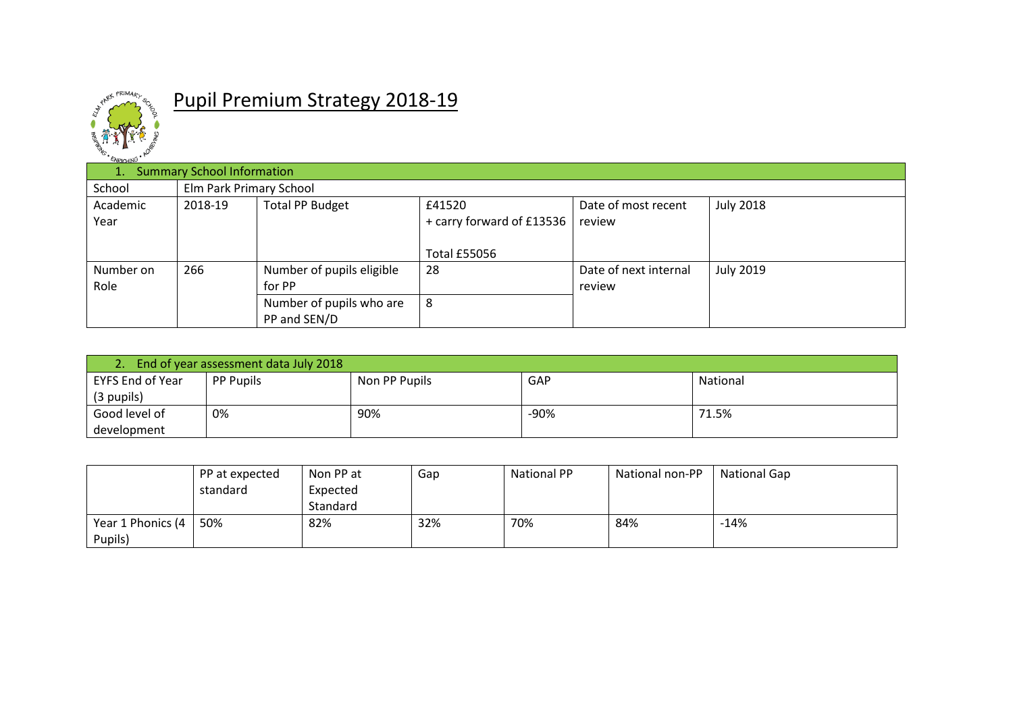

## Pupil Premium Strategy 2018-19

| $\sim$ $\sim$ $\sim$<br>1.1 | <b>Summary School Information</b> |                           |                           |                       |                  |  |  |  |  |  |
|-----------------------------|-----------------------------------|---------------------------|---------------------------|-----------------------|------------------|--|--|--|--|--|
| School                      |                                   | Elm Park Primary School   |                           |                       |                  |  |  |  |  |  |
| Academic                    | 2018-19                           | <b>Total PP Budget</b>    | £41520                    | Date of most recent   | <b>July 2018</b> |  |  |  |  |  |
| Year                        |                                   |                           | + carry forward of £13536 | review                |                  |  |  |  |  |  |
|                             |                                   |                           |                           |                       |                  |  |  |  |  |  |
|                             |                                   |                           | <b>Total £55056</b>       |                       |                  |  |  |  |  |  |
| Number on                   | 266                               | Number of pupils eligible | 28                        | Date of next internal | <b>July 2019</b> |  |  |  |  |  |
| Role                        |                                   | for PP                    |                           | review                |                  |  |  |  |  |  |
|                             |                                   | Number of pupils who are  | 8                         |                       |                  |  |  |  |  |  |
|                             |                                   | PP and SEN/D              |                           |                       |                  |  |  |  |  |  |

| End of year assessment data July 2018 |                  |               |            |          |  |  |  |  |
|---------------------------------------|------------------|---------------|------------|----------|--|--|--|--|
| EYFS End of Year                      | <b>PP Pupils</b> | Non PP Pupils | <b>GAP</b> | National |  |  |  |  |
| (3 pupils)                            |                  |               |            |          |  |  |  |  |
| Good level of                         | 0%               | 90%           | $-90%$     | 71.5%    |  |  |  |  |
| development                           |                  |               |            |          |  |  |  |  |

|                          | PP at expected | Non PP at | Gap | <b>National PP</b> | National non-PP | <b>National Gap</b> |
|--------------------------|----------------|-----------|-----|--------------------|-----------------|---------------------|
|                          | standard       | Expected  |     |                    |                 |                     |
|                          |                | Standard  |     |                    |                 |                     |
| Year 1 Phonics $(4 \mid$ | 50%            | 82%       | 32% | 70%                | 84%             | $-14%$              |
| Pupils)                  |                |           |     |                    |                 |                     |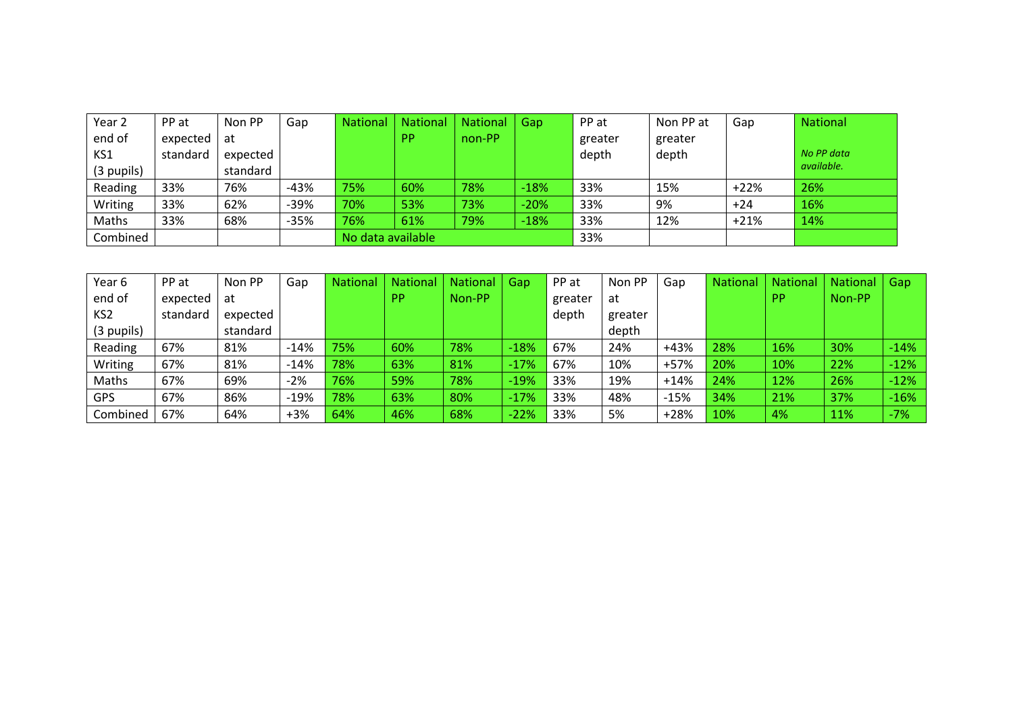| Year 2     | PP at    | Non PP   | Gap    | <b>National</b>   | <b>National</b> | National | Gap    | PP at   | Non PP at | Gap    | <b>National</b> |
|------------|----------|----------|--------|-------------------|-----------------|----------|--------|---------|-----------|--------|-----------------|
| end of     | expected | at       |        |                   | <b>PP</b>       | non-PP   |        | greater | greater   |        |                 |
| KS1        | standard | expected |        |                   |                 |          |        | depth   | depth     |        | No PP data      |
| (3 pupils) |          | standard |        |                   |                 |          |        |         |           |        | available.      |
| Reading    | 33%      | 76%      | $-43%$ | 75%               | 60%             | 78%      | $-18%$ | 33%     | 15%       | $+22%$ | 26%             |
| Writing    | 33%      | 62%      | $-39%$ | 70%               | 53%             | 73%      | $-20%$ | 33%     | 9%        | $+24$  | 16%             |
| Maths      | 33%      | 68%      | $-35%$ | 76%               | 61%             | 79%      | $-18%$ | 33%     | 12%       | $+21%$ | 14%             |
| Combined   |          |          |        | No data available |                 |          |        | 33%     |           |        |                 |

| Year 6          | PP at    | Non PP   | Gap    | <b>National</b> | <b>National</b> | National | Gap    | PP at   | Non PP  | Gap    | <b>National</b> | <b>National</b> | <b>National</b> | Gap    |
|-----------------|----------|----------|--------|-----------------|-----------------|----------|--------|---------|---------|--------|-----------------|-----------------|-----------------|--------|
| end of          | expected | at       |        |                 | <b>PP</b>       | Non-PP   |        | greater | at      |        |                 | <b>PP</b>       | Non-PP          |        |
| KS <sub>2</sub> | standard | expected |        |                 |                 |          |        | depth   | greater |        |                 |                 |                 |        |
| (3 pupils)      |          | standard |        |                 |                 |          |        |         | depth   |        |                 |                 |                 |        |
| Reading         | 67%      | 81%      | $-14%$ | 75%             | 60%             | 78%      | $-18%$ | 67%     | 24%     | $+43%$ | 28%             | 16%             | 30%             | $-14%$ |
| Writing         | 67%      | 81%      | $-14%$ | 78%             | 63%             | 81%      | $-17%$ | 67%     | 10%     | $+57%$ | 20%             | 10%             | 22%             | $-12%$ |
| Maths           | 67%      | 69%      | $-2%$  | 76%             | 59%             | 78%      | $-19%$ | 33%     | 19%     | $+14%$ | 24%             | 12%             | 26%             | $-12%$ |
| <b>GPS</b>      | 67%      | 86%      | $-19%$ | 78%             | 63%             | 80%      | $-17%$ | 33%     | 48%     | $-15%$ | 34%             | 21%             | 37%             | $-16%$ |
| Combined        | 67%      | 64%      | $+3%$  | 64%             | 46%             | 68%      | $-22%$ | 33%     | 5%      | $+28%$ | 10%             | 4%              | 11%             | $-7%$  |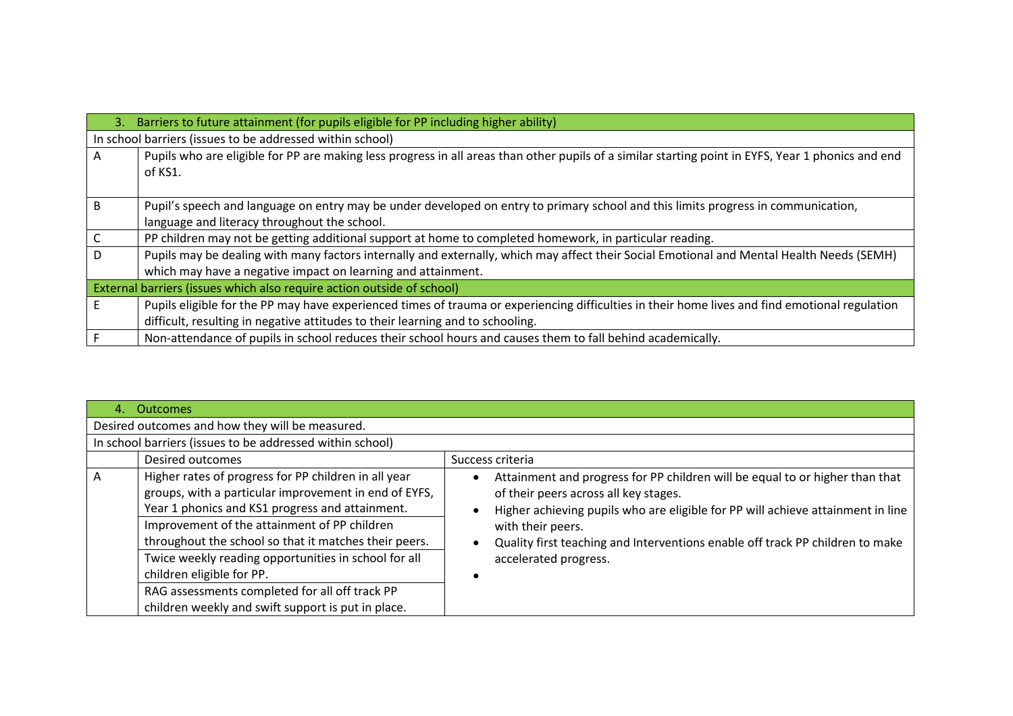| 3.           | Barriers to future attainment (for pupils eligible for PP including higher ability)                                                                |
|--------------|----------------------------------------------------------------------------------------------------------------------------------------------------|
|              | In school barriers (issues to be addressed within school)                                                                                          |
| A            | Pupils who are eligible for PP are making less progress in all areas than other pupils of a similar starting point in EYFS, Year 1 phonics and end |
|              | of KS1.                                                                                                                                            |
|              |                                                                                                                                                    |
| <sub>B</sub> | Pupil's speech and language on entry may be under developed on entry to primary school and this limits progress in communication,                  |
|              | language and literacy throughout the school.                                                                                                       |
|              | PP children may not be getting additional support at home to completed homework, in particular reading.                                            |
| D            | Pupils may be dealing with many factors internally and externally, which may affect their Social Emotional and Mental Health Needs (SEMH)          |
|              | which may have a negative impact on learning and attainment.                                                                                       |
|              | External barriers (issues which also require action outside of school)                                                                             |
|              | Pupils eligible for the PP may have experienced times of trauma or experiencing difficulties in their home lives and find emotional regulation     |
|              | difficult, resulting in negative attitudes to their learning and to schooling.                                                                     |
|              | Non-attendance of pupils in school reduces their school hours and causes them to fall behind academically.                                         |

| 4. | Outcomes                                                                                                                                                                                                                                                                                                                                                                                                                                                               |                                                                                                                                                                                                                                                                                                                                         |  |  |  |  |  |  |
|----|------------------------------------------------------------------------------------------------------------------------------------------------------------------------------------------------------------------------------------------------------------------------------------------------------------------------------------------------------------------------------------------------------------------------------------------------------------------------|-----------------------------------------------------------------------------------------------------------------------------------------------------------------------------------------------------------------------------------------------------------------------------------------------------------------------------------------|--|--|--|--|--|--|
|    | Desired outcomes and how they will be measured.                                                                                                                                                                                                                                                                                                                                                                                                                        |                                                                                                                                                                                                                                                                                                                                         |  |  |  |  |  |  |
|    | In school barriers (issues to be addressed within school)                                                                                                                                                                                                                                                                                                                                                                                                              |                                                                                                                                                                                                                                                                                                                                         |  |  |  |  |  |  |
|    | Desired outcomes                                                                                                                                                                                                                                                                                                                                                                                                                                                       | Success criteria                                                                                                                                                                                                                                                                                                                        |  |  |  |  |  |  |
| A  | Higher rates of progress for PP children in all year<br>groups, with a particular improvement in end of EYFS,<br>Year 1 phonics and KS1 progress and attainment.<br>Improvement of the attainment of PP children<br>throughout the school so that it matches their peers.<br>Twice weekly reading opportunities in school for all<br>children eligible for PP.<br>RAG assessments completed for all off track PP<br>children weekly and swift support is put in place. | Attainment and progress for PP children will be equal to or higher than that<br>of their peers across all key stages.<br>Higher achieving pupils who are eligible for PP will achieve attainment in line<br>with their peers.<br>Quality first teaching and Interventions enable off track PP children to make<br>accelerated progress. |  |  |  |  |  |  |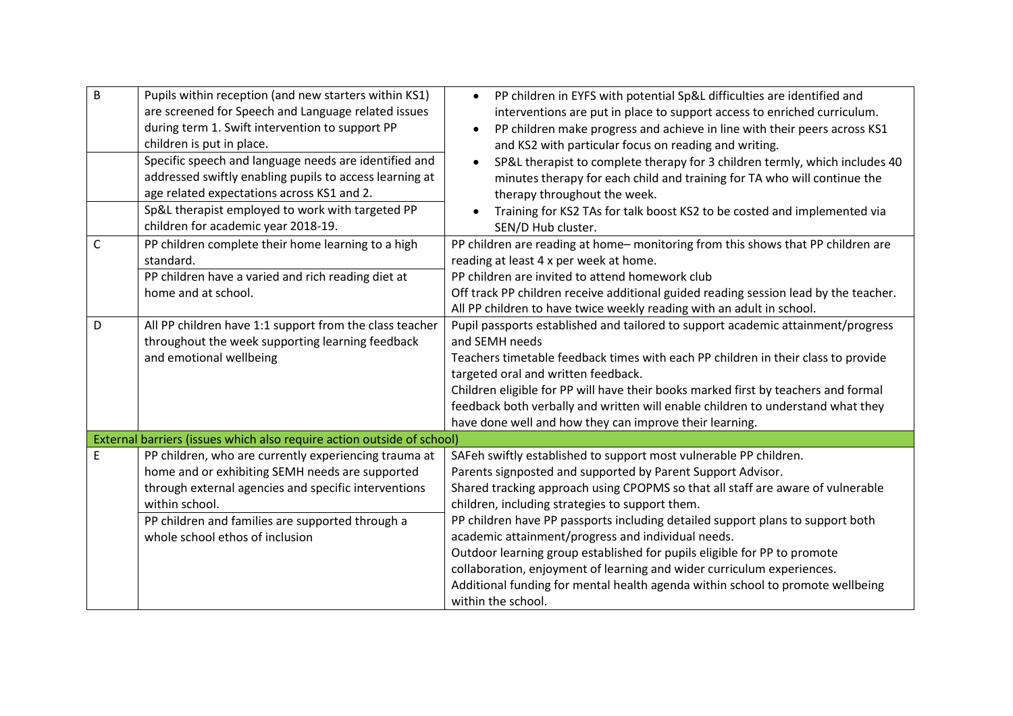| $\sf B$<br>$\mathsf C$<br>D | Pupils within reception (and new starters within KS1)<br>are screened for Speech and Language related issues<br>during term 1. Swift intervention to support PP<br>children is put in place.<br>Specific speech and language needs are identified and<br>addressed swiftly enabling pupils to access learning at<br>age related expectations across KS1 and 2.<br>Sp&L therapist employed to work with targeted PP<br>children for academic year 2018-19.<br>PP children complete their home learning to a high<br>standard.<br>PP children have a varied and rich reading diet at<br>home and at school.<br>All PP children have 1:1 support from the class teacher<br>throughout the week supporting learning feedback<br>and emotional wellbeing | PP children in EYFS with potential Sp&L difficulties are identified and<br>$\bullet$<br>interventions are put in place to support access to enriched curriculum.<br>PP children make progress and achieve in line with their peers across KS1<br>and KS2 with particular focus on reading and writing.<br>SP&L therapist to complete therapy for 3 children termly, which includes 40<br>$\bullet$<br>minutes therapy for each child and training for TA who will continue the<br>therapy throughout the week.<br>Training for KS2 TAs for talk boost KS2 to be costed and implemented via<br>SEN/D Hub cluster.<br>PP children are reading at home-monitoring from this shows that PP children are<br>reading at least 4 x per week at home.<br>PP children are invited to attend homework club<br>Off track PP children receive additional guided reading session lead by the teacher.<br>All PP children to have twice weekly reading with an adult in school.<br>Pupil passports established and tailored to support academic attainment/progress<br>and SEMH needs<br>Teachers timetable feedback times with each PP children in their class to provide<br>targeted oral and written feedback.<br>Children eligible for PP will have their books marked first by teachers and formal<br>feedback both verbally and written will enable children to understand what they |
|-----------------------------|-----------------------------------------------------------------------------------------------------------------------------------------------------------------------------------------------------------------------------------------------------------------------------------------------------------------------------------------------------------------------------------------------------------------------------------------------------------------------------------------------------------------------------------------------------------------------------------------------------------------------------------------------------------------------------------------------------------------------------------------------------|------------------------------------------------------------------------------------------------------------------------------------------------------------------------------------------------------------------------------------------------------------------------------------------------------------------------------------------------------------------------------------------------------------------------------------------------------------------------------------------------------------------------------------------------------------------------------------------------------------------------------------------------------------------------------------------------------------------------------------------------------------------------------------------------------------------------------------------------------------------------------------------------------------------------------------------------------------------------------------------------------------------------------------------------------------------------------------------------------------------------------------------------------------------------------------------------------------------------------------------------------------------------------------------------------------------------------------------------------------------------------|
|                             |                                                                                                                                                                                                                                                                                                                                                                                                                                                                                                                                                                                                                                                                                                                                                     | have done well and how they can improve their learning.                                                                                                                                                                                                                                                                                                                                                                                                                                                                                                                                                                                                                                                                                                                                                                                                                                                                                                                                                                                                                                                                                                                                                                                                                                                                                                                      |
|                             | External barriers (issues which also require action outside of school)                                                                                                                                                                                                                                                                                                                                                                                                                                                                                                                                                                                                                                                                              |                                                                                                                                                                                                                                                                                                                                                                                                                                                                                                                                                                                                                                                                                                                                                                                                                                                                                                                                                                                                                                                                                                                                                                                                                                                                                                                                                                              |
| $\mathsf E$                 | PP children, who are currently experiencing trauma at<br>home and or exhibiting SEMH needs are supported<br>through external agencies and specific interventions<br>within school.<br>PP children and families are supported through a<br>whole school ethos of inclusion                                                                                                                                                                                                                                                                                                                                                                                                                                                                           | SAFeh swiftly established to support most vulnerable PP children.<br>Parents signposted and supported by Parent Support Advisor.<br>Shared tracking approach using CPOPMS so that all staff are aware of vulnerable<br>children, including strategies to support them.<br>PP children have PP passports including detailed support plans to support both<br>academic attainment/progress and individual needs.<br>Outdoor learning group established for pupils eligible for PP to promote<br>collaboration, enjoyment of learning and wider curriculum experiences.<br>Additional funding for mental health agenda within school to promote wellbeing<br>within the school.                                                                                                                                                                                                                                                                                                                                                                                                                                                                                                                                                                                                                                                                                                 |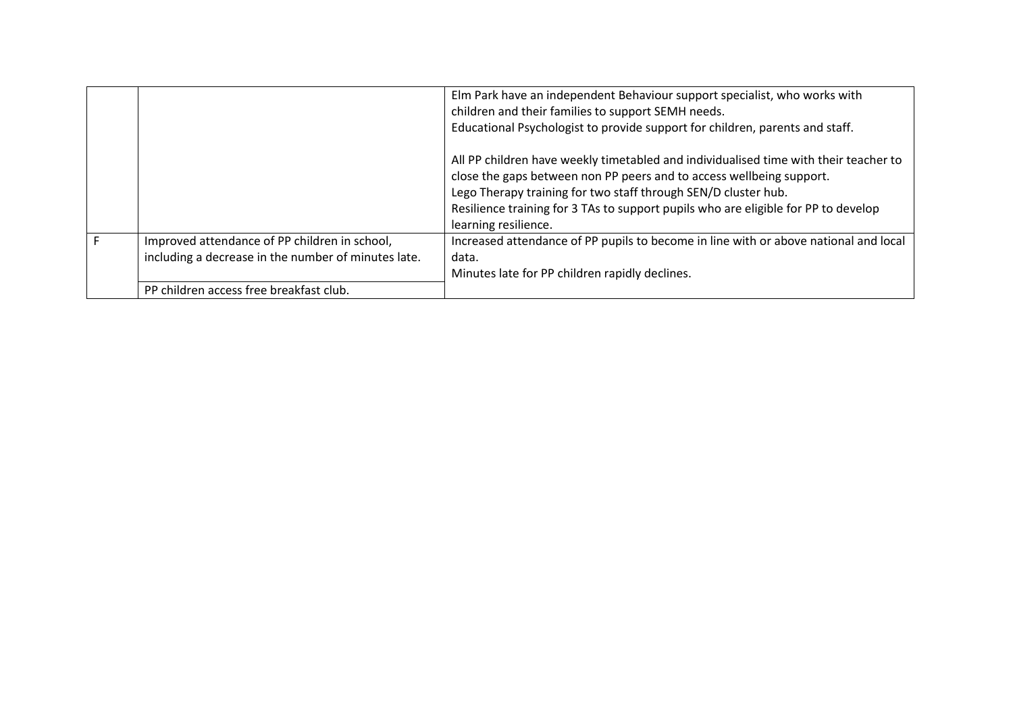|                                                                                                      | Elm Park have an independent Behaviour support specialist, who works with<br>children and their families to support SEMH needs.                                                                                                                                                                                                              |
|------------------------------------------------------------------------------------------------------|----------------------------------------------------------------------------------------------------------------------------------------------------------------------------------------------------------------------------------------------------------------------------------------------------------------------------------------------|
|                                                                                                      | Educational Psychologist to provide support for children, parents and staff.                                                                                                                                                                                                                                                                 |
|                                                                                                      | All PP children have weekly timetabled and individualised time with their teacher to<br>close the gaps between non PP peers and to access wellbeing support.<br>Lego Therapy training for two staff through SEN/D cluster hub.<br>Resilience training for 3 TAs to support pupils who are eligible for PP to develop<br>learning resilience. |
| Improved attendance of PP children in school,<br>including a decrease in the number of minutes late. | Increased attendance of PP pupils to become in line with or above national and local<br>data.<br>Minutes late for PP children rapidly declines.                                                                                                                                                                                              |
| PP children access free breakfast club.                                                              |                                                                                                                                                                                                                                                                                                                                              |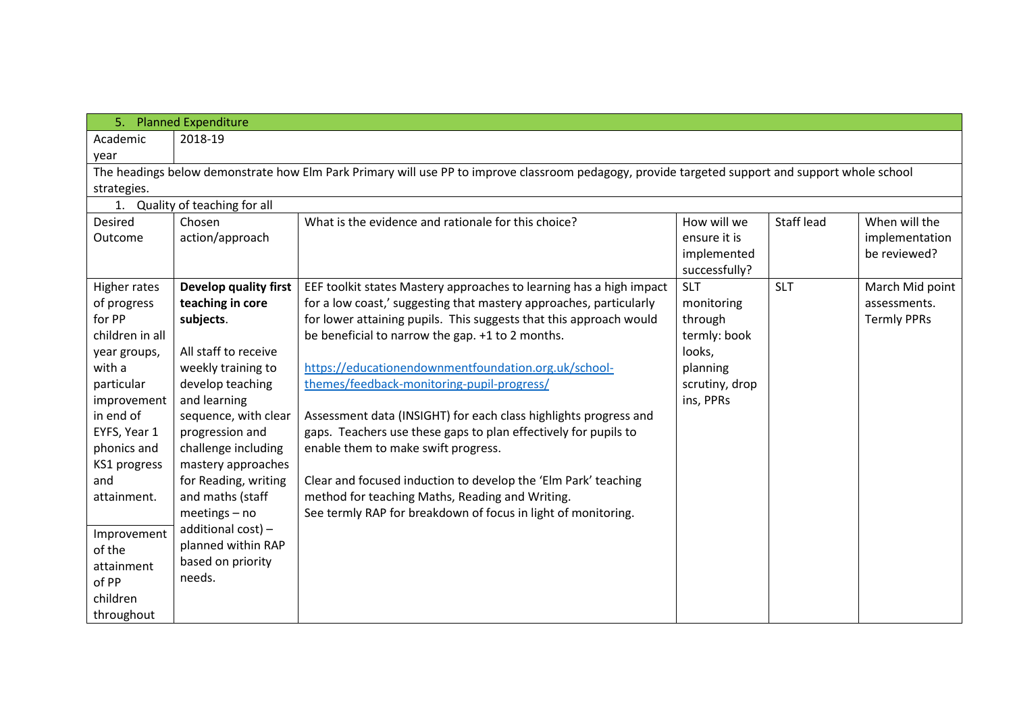| 5.                                                                                                                                               | <b>Planned Expenditure</b>               |                                                                                                                  |                |            |                    |  |  |  |  |
|--------------------------------------------------------------------------------------------------------------------------------------------------|------------------------------------------|------------------------------------------------------------------------------------------------------------------|----------------|------------|--------------------|--|--|--|--|
| Academic                                                                                                                                         | 2018-19                                  |                                                                                                                  |                |            |                    |  |  |  |  |
| year                                                                                                                                             |                                          |                                                                                                                  |                |            |                    |  |  |  |  |
| The headings below demonstrate how Elm Park Primary will use PP to improve classroom pedagogy, provide targeted support and support whole school |                                          |                                                                                                                  |                |            |                    |  |  |  |  |
| strategies.                                                                                                                                      |                                          |                                                                                                                  |                |            |                    |  |  |  |  |
|                                                                                                                                                  | 1. Quality of teaching for all           |                                                                                                                  |                |            |                    |  |  |  |  |
| Desired                                                                                                                                          | Chosen                                   | What is the evidence and rationale for this choice?                                                              | How will we    | Staff lead | When will the      |  |  |  |  |
| Outcome                                                                                                                                          | action/approach                          |                                                                                                                  | ensure it is   |            | implementation     |  |  |  |  |
|                                                                                                                                                  |                                          |                                                                                                                  | implemented    |            | be reviewed?       |  |  |  |  |
|                                                                                                                                                  |                                          |                                                                                                                  | successfully?  |            |                    |  |  |  |  |
| Higher rates                                                                                                                                     | Develop quality first                    | EEF toolkit states Mastery approaches to learning has a high impact                                              | <b>SLT</b>     | <b>SLT</b> | March Mid point    |  |  |  |  |
| of progress                                                                                                                                      | teaching in core                         | for a low coast,' suggesting that mastery approaches, particularly                                               | monitoring     |            | assessments.       |  |  |  |  |
| for PP                                                                                                                                           | subjects.                                | for lower attaining pupils. This suggests that this approach would                                               | through        |            | <b>Termly PPRs</b> |  |  |  |  |
| children in all                                                                                                                                  |                                          | be beneficial to narrow the gap. +1 to 2 months.                                                                 | termly: book   |            |                    |  |  |  |  |
| year groups,                                                                                                                                     | All staff to receive                     |                                                                                                                  | looks,         |            |                    |  |  |  |  |
| with a                                                                                                                                           | weekly training to                       | https://educationendownmentfoundation.org.uk/school-                                                             | planning       |            |                    |  |  |  |  |
| particular                                                                                                                                       | develop teaching                         | themes/feedback-monitoring-pupil-progress/                                                                       | scrutiny, drop |            |                    |  |  |  |  |
| improvement                                                                                                                                      | and learning                             |                                                                                                                  | ins, PPRs      |            |                    |  |  |  |  |
| in end of                                                                                                                                        | sequence, with clear                     | Assessment data (INSIGHT) for each class highlights progress and                                                 |                |            |                    |  |  |  |  |
| EYFS, Year 1                                                                                                                                     | progression and                          | gaps. Teachers use these gaps to plan effectively for pupils to                                                  |                |            |                    |  |  |  |  |
| phonics and                                                                                                                                      | challenge including                      | enable them to make swift progress.                                                                              |                |            |                    |  |  |  |  |
| KS1 progress<br>and                                                                                                                              | mastery approaches                       |                                                                                                                  |                |            |                    |  |  |  |  |
| attainment.                                                                                                                                      | for Reading, writing<br>and maths (staff | Clear and focused induction to develop the 'Elm Park' teaching                                                   |                |            |                    |  |  |  |  |
|                                                                                                                                                  | $meetings - no$                          | method for teaching Maths, Reading and Writing.<br>See termly RAP for breakdown of focus in light of monitoring. |                |            |                    |  |  |  |  |
|                                                                                                                                                  | additional cost) -                       |                                                                                                                  |                |            |                    |  |  |  |  |
| Improvement                                                                                                                                      | planned within RAP                       |                                                                                                                  |                |            |                    |  |  |  |  |
| of the                                                                                                                                           | based on priority                        |                                                                                                                  |                |            |                    |  |  |  |  |
| attainment                                                                                                                                       | needs.                                   |                                                                                                                  |                |            |                    |  |  |  |  |
| of PP                                                                                                                                            |                                          |                                                                                                                  |                |            |                    |  |  |  |  |
| children                                                                                                                                         |                                          |                                                                                                                  |                |            |                    |  |  |  |  |
| throughout                                                                                                                                       |                                          |                                                                                                                  |                |            |                    |  |  |  |  |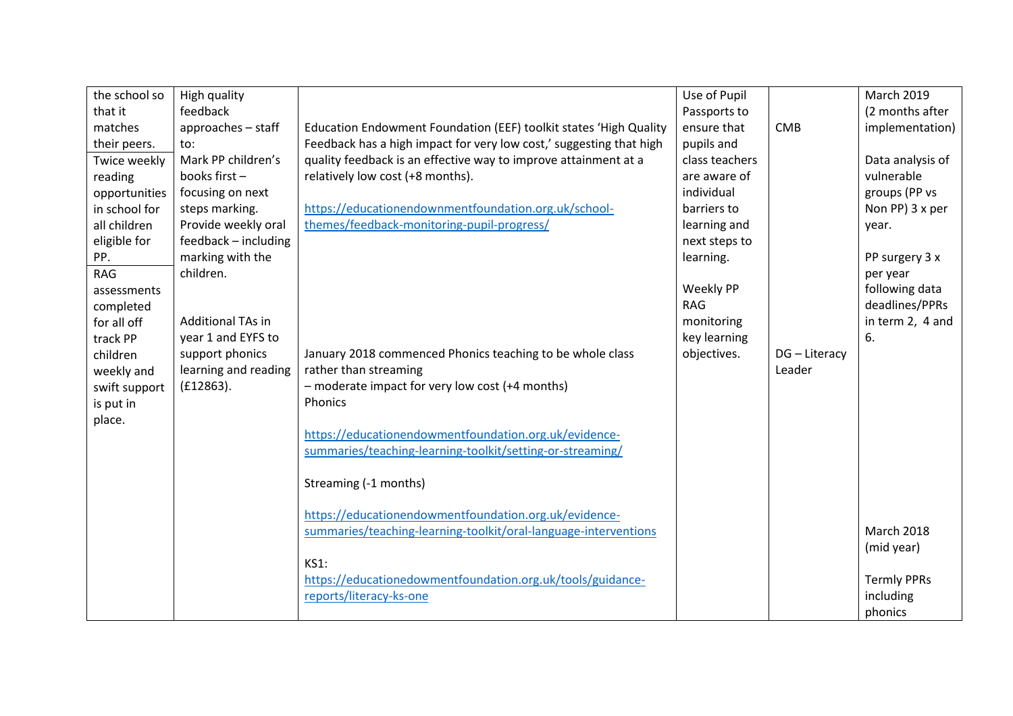| the school so | High quality             |                                                                     | Use of Pupil     |               | <b>March 2019</b>  |
|---------------|--------------------------|---------------------------------------------------------------------|------------------|---------------|--------------------|
| that it       | feedback                 |                                                                     | Passports to     |               | (2 months after    |
| matches       | approaches - staff       | Education Endowment Foundation (EEF) toolkit states 'High Quality   | ensure that      | <b>CMB</b>    | implementation)    |
| their peers.  | to:                      | Feedback has a high impact for very low cost,' suggesting that high | pupils and       |               |                    |
| Twice weekly  | Mark PP children's       | quality feedback is an effective way to improve attainment at a     | class teachers   |               | Data analysis of   |
| reading       | books first-             | relatively low cost (+8 months).                                    | are aware of     |               | vulnerable         |
| opportunities | focusing on next         |                                                                     | individual       |               | groups (PP vs      |
| in school for | steps marking.           | https://educationendownmentfoundation.org.uk/school-                | barriers to      |               | Non PP) 3 x per    |
| all children  | Provide weekly oral      | themes/feedback-monitoring-pupil-progress/                          | learning and     |               | year.              |
| eligible for  | feedback - including     |                                                                     | next steps to    |               |                    |
| PP.           | marking with the         |                                                                     | learning.        |               | PP surgery 3 x     |
| <b>RAG</b>    | children.                |                                                                     |                  |               | per year           |
| assessments   |                          |                                                                     | <b>Weekly PP</b> |               | following data     |
| completed     |                          |                                                                     | <b>RAG</b>       |               | deadlines/PPRs     |
| for all off   | <b>Additional TAs in</b> |                                                                     | monitoring       |               | in term 2, 4 and   |
| track PP      | year 1 and EYFS to       |                                                                     | key learning     |               | 6.                 |
| children      | support phonics          | January 2018 commenced Phonics teaching to be whole class           | objectives.      | DG - Literacy |                    |
| weekly and    | learning and reading     | rather than streaming                                               |                  | Leader        |                    |
| swift support | (E12863).                | - moderate impact for very low cost (+4 months)                     |                  |               |                    |
| is put in     |                          | Phonics                                                             |                  |               |                    |
| place.        |                          |                                                                     |                  |               |                    |
|               |                          | https://educationendowmentfoundation.org.uk/evidence-               |                  |               |                    |
|               |                          | summaries/teaching-learning-toolkit/setting-or-streaming/           |                  |               |                    |
|               |                          |                                                                     |                  |               |                    |
|               |                          | Streaming (-1 months)                                               |                  |               |                    |
|               |                          |                                                                     |                  |               |                    |
|               |                          | https://educationendowmentfoundation.org.uk/evidence-               |                  |               |                    |
|               |                          | summaries/teaching-learning-toolkit/oral-language-interventions     |                  |               | <b>March 2018</b>  |
|               |                          |                                                                     |                  |               | (mid year)         |
|               |                          | <b>KS1:</b>                                                         |                  |               |                    |
|               |                          | https://educationedowmentfoundation.org.uk/tools/guidance-          |                  |               | <b>Termly PPRs</b> |
|               |                          | reports/literacy-ks-one                                             |                  |               | including          |
|               |                          |                                                                     |                  |               | phonics            |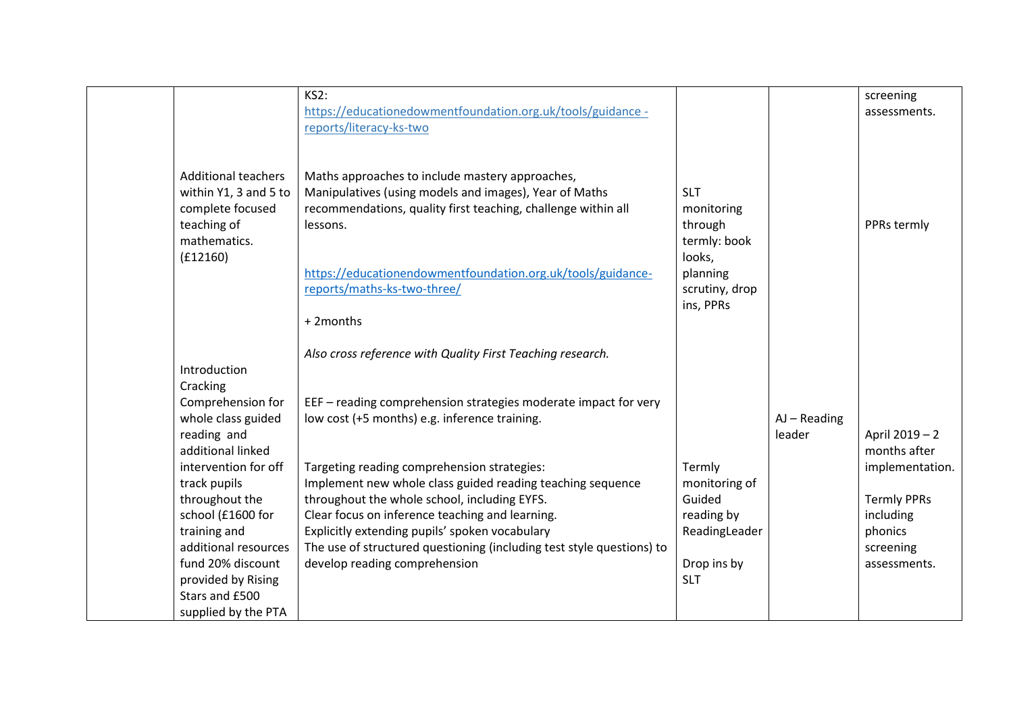|                                                                                                                     | KS2:<br>https://educationedowmentfoundation.org.uk/tools/guidance -                                                                                                                                                                                                                                                                     |                                                                                                          |                          | screening<br>assessments.                                                  |
|---------------------------------------------------------------------------------------------------------------------|-----------------------------------------------------------------------------------------------------------------------------------------------------------------------------------------------------------------------------------------------------------------------------------------------------------------------------------------|----------------------------------------------------------------------------------------------------------|--------------------------|----------------------------------------------------------------------------|
| <b>Additional teachers</b><br>within Y1, 3 and 5 to<br>complete focused<br>teaching of<br>mathematics.<br>(f12160)  | reports/literacy-ks-two<br>Maths approaches to include mastery approaches,<br>Manipulatives (using models and images), Year of Maths<br>recommendations, quality first teaching, challenge within all<br>lessons.<br>https://educationendowmentfoundation.org.uk/tools/guidance-<br>reports/maths-ks-two-three/<br>+2months             | <b>SLT</b><br>monitoring<br>through<br>termly: book<br>looks,<br>planning<br>scrutiny, drop<br>ins, PPRs |                          | PPRs termly                                                                |
|                                                                                                                     | Also cross reference with Quality First Teaching research.                                                                                                                                                                                                                                                                              |                                                                                                          |                          |                                                                            |
| Introduction<br>Cracking<br>Comprehension for<br>whole class guided                                                 | EEF - reading comprehension strategies moderate impact for very                                                                                                                                                                                                                                                                         |                                                                                                          |                          |                                                                            |
| reading and<br>additional linked                                                                                    | low cost (+5 months) e.g. inference training.                                                                                                                                                                                                                                                                                           |                                                                                                          | $AJ - Reading$<br>leader | April 2019 - 2<br>months after                                             |
| intervention for off<br>track pupils<br>throughout the<br>school (£1600 for<br>training and<br>additional resources | Targeting reading comprehension strategies:<br>Implement new whole class guided reading teaching sequence<br>throughout the whole school, including EYFS.<br>Clear focus on inference teaching and learning.<br>Explicitly extending pupils' spoken vocabulary<br>The use of structured questioning (including test style questions) to | Termly<br>monitoring of<br>Guided<br>reading by<br>ReadingLeader                                         |                          | implementation.<br><b>Termly PPRs</b><br>including<br>phonics<br>screening |
| fund 20% discount<br>provided by Rising<br>Stars and £500<br>supplied by the PTA                                    | develop reading comprehension                                                                                                                                                                                                                                                                                                           | Drop ins by<br><b>SLT</b>                                                                                |                          | assessments.                                                               |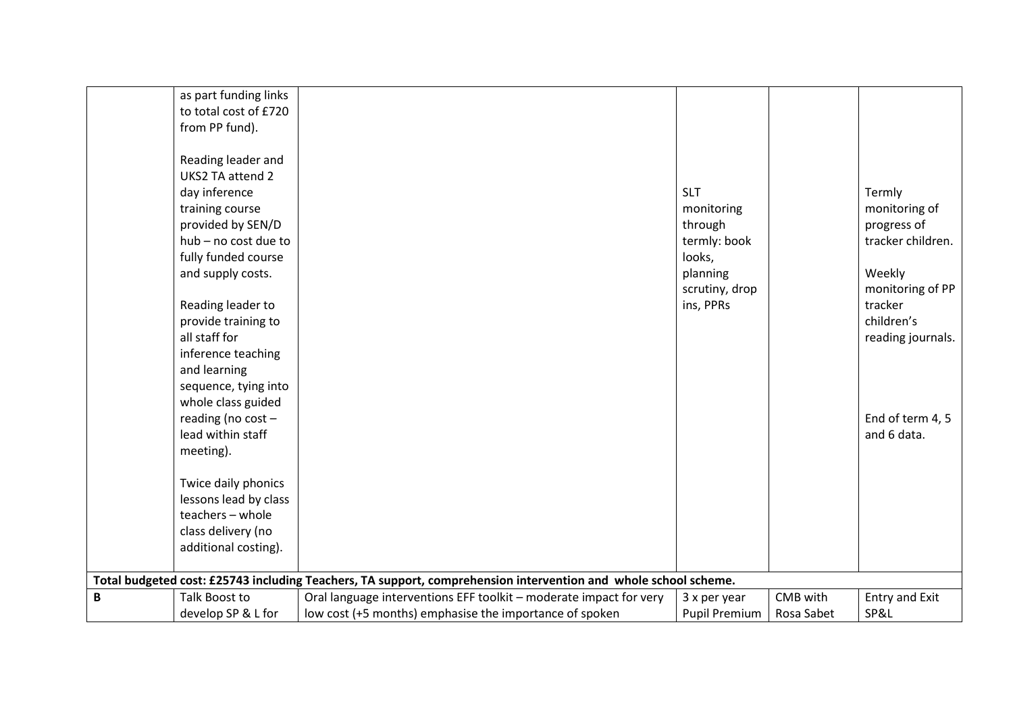|              | as part funding links |                                                                                                                 |                      |            |                   |
|--------------|-----------------------|-----------------------------------------------------------------------------------------------------------------|----------------------|------------|-------------------|
|              | to total cost of £720 |                                                                                                                 |                      |            |                   |
|              | from PP fund).        |                                                                                                                 |                      |            |                   |
|              |                       |                                                                                                                 |                      |            |                   |
|              | Reading leader and    |                                                                                                                 |                      |            |                   |
|              | UKS2 TA attend 2      |                                                                                                                 |                      |            |                   |
|              | day inference         |                                                                                                                 | <b>SLT</b>           |            | Termly            |
|              | training course       |                                                                                                                 | monitoring           |            | monitoring of     |
|              | provided by SEN/D     |                                                                                                                 | through              |            | progress of       |
|              | hub - no cost due to  |                                                                                                                 | termly: book         |            | tracker children. |
|              | fully funded course   |                                                                                                                 | looks,               |            |                   |
|              | and supply costs.     |                                                                                                                 | planning             |            | Weekly            |
|              |                       |                                                                                                                 | scrutiny, drop       |            | monitoring of PP  |
|              | Reading leader to     |                                                                                                                 | ins, PPRs            |            | tracker           |
|              | provide training to   |                                                                                                                 |                      |            | children's        |
|              | all staff for         |                                                                                                                 |                      |            | reading journals. |
|              | inference teaching    |                                                                                                                 |                      |            |                   |
|              | and learning          |                                                                                                                 |                      |            |                   |
|              | sequence, tying into  |                                                                                                                 |                      |            |                   |
|              | whole class guided    |                                                                                                                 |                      |            |                   |
|              | reading (no cost -    |                                                                                                                 |                      |            | End of term 4, 5  |
|              | lead within staff     |                                                                                                                 |                      |            | and 6 data.       |
|              | meeting).             |                                                                                                                 |                      |            |                   |
|              |                       |                                                                                                                 |                      |            |                   |
|              | Twice daily phonics   |                                                                                                                 |                      |            |                   |
|              | lessons lead by class |                                                                                                                 |                      |            |                   |
|              | teachers - whole      |                                                                                                                 |                      |            |                   |
|              | class delivery (no    |                                                                                                                 |                      |            |                   |
|              | additional costing).  |                                                                                                                 |                      |            |                   |
|              |                       |                                                                                                                 |                      |            |                   |
|              |                       | Total budgeted cost: £25743 including Teachers, TA support, comprehension intervention and whole school scheme. |                      |            |                   |
| $\, {\bf B}$ | Talk Boost to         | Oral language interventions EFF toolkit - moderate impact for very                                              | 3 x per year         | CMB with   | Entry and Exit    |
|              | develop SP & L for    | low cost (+5 months) emphasise the importance of spoken                                                         | <b>Pupil Premium</b> | Rosa Sabet | SP&L              |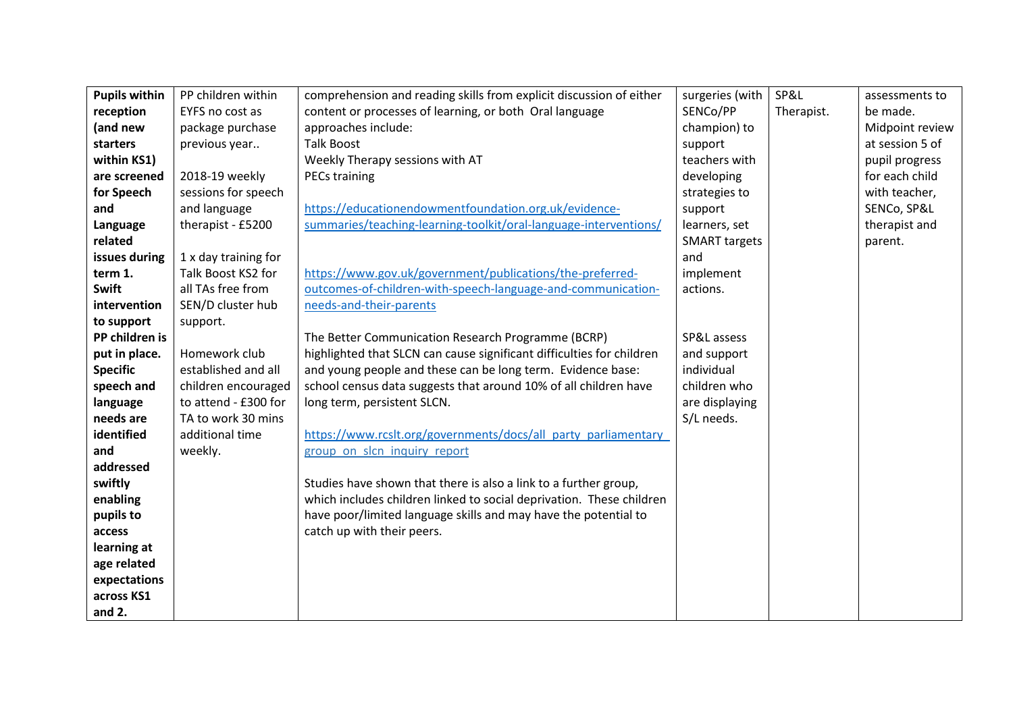| <b>Pupils within</b> | PP children within   | comprehension and reading skills from explicit discussion of either   | surgeries (with      | SP&L       | assessments to  |
|----------------------|----------------------|-----------------------------------------------------------------------|----------------------|------------|-----------------|
| reception            | EYFS no cost as      | content or processes of learning, or both Oral language               | SENCo/PP             | Therapist. | be made.        |
| (and new             | package purchase     | approaches include:                                                   | champion) to         |            | Midpoint review |
| starters             | previous year        | <b>Talk Boost</b>                                                     | support              |            | at session 5 of |
| within KS1)          |                      | Weekly Therapy sessions with AT                                       | teachers with        |            | pupil progress  |
| are screened         | 2018-19 weekly       | <b>PECs training</b>                                                  | developing           |            | for each child  |
| for Speech           | sessions for speech  |                                                                       | strategies to        |            | with teacher,   |
| and                  | and language         | https://educationendowmentfoundation.org.uk/evidence-                 | support              |            | SENCo, SP&L     |
| Language             | therapist - £5200    | summaries/teaching-learning-toolkit/oral-language-interventions/      | learners, set        |            | therapist and   |
| related              |                      |                                                                       | <b>SMART</b> targets |            | parent.         |
| issues during        | 1 x day training for |                                                                       | and                  |            |                 |
| term 1.              | Talk Boost KS2 for   | https://www.gov.uk/government/publications/the-preferred-             | implement            |            |                 |
| <b>Swift</b>         | all TAs free from    | outcomes-of-children-with-speech-language-and-communication-          | actions.             |            |                 |
| intervention         | SEN/D cluster hub    | needs-and-their-parents                                               |                      |            |                 |
| to support           | support.             |                                                                       |                      |            |                 |
| PP children is       |                      | The Better Communication Research Programme (BCRP)                    | SP&L assess          |            |                 |
| put in place.        | Homework club        | highlighted that SLCN can cause significant difficulties for children | and support          |            |                 |
| <b>Specific</b>      | established and all  | and young people and these can be long term. Evidence base:           | individual           |            |                 |
| speech and           | children encouraged  | school census data suggests that around 10% of all children have      | children who         |            |                 |
| language             | to attend - £300 for | long term, persistent SLCN.                                           | are displaying       |            |                 |
| needs are            | TA to work 30 mins   |                                                                       | S/L needs.           |            |                 |
| identified           | additional time      | https://www.rcslt.org/governments/docs/all party parliamentary        |                      |            |                 |
| and                  | weekly.              | group on slcn inquiry report                                          |                      |            |                 |
| addressed            |                      |                                                                       |                      |            |                 |
| swiftly              |                      | Studies have shown that there is also a link to a further group,      |                      |            |                 |
| enabling             |                      | which includes children linked to social deprivation. These children  |                      |            |                 |
| pupils to            |                      | have poor/limited language skills and may have the potential to       |                      |            |                 |
| access               |                      | catch up with their peers.                                            |                      |            |                 |
| learning at          |                      |                                                                       |                      |            |                 |
| age related          |                      |                                                                       |                      |            |                 |
| expectations         |                      |                                                                       |                      |            |                 |
| across KS1           |                      |                                                                       |                      |            |                 |
| and $2.$             |                      |                                                                       |                      |            |                 |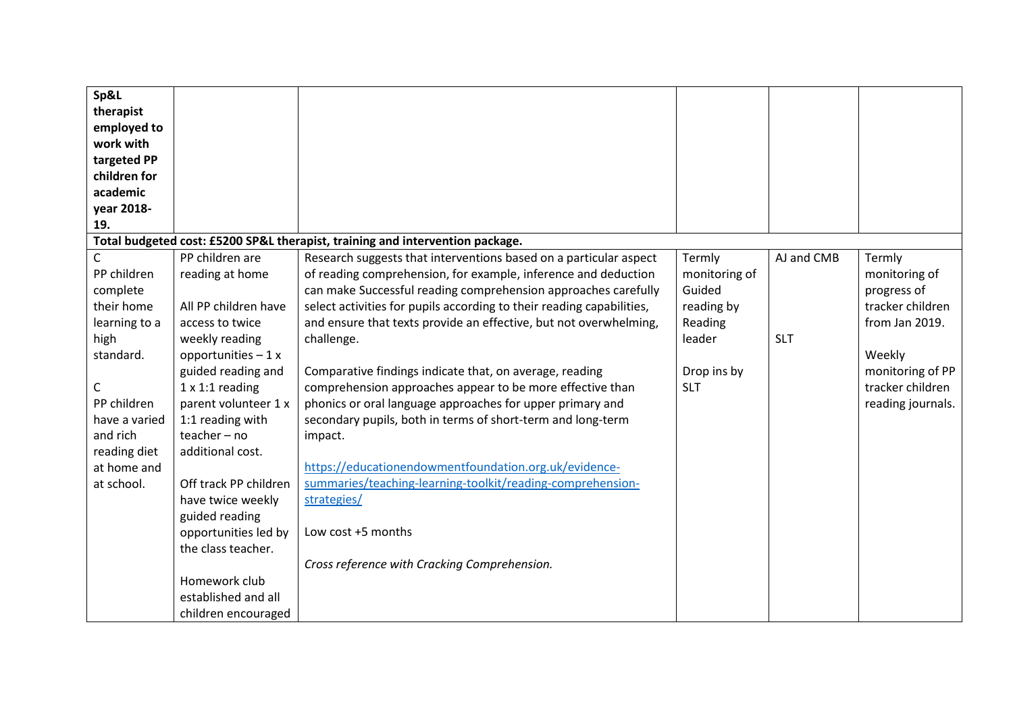| Sp&L<br>therapist<br>employed to<br>work with<br>targeted PP<br>children for<br>academic<br>year 2018- |                                                            |                                                                                                                                                                                                                                                                                |                                                 |            |                                                            |
|--------------------------------------------------------------------------------------------------------|------------------------------------------------------------|--------------------------------------------------------------------------------------------------------------------------------------------------------------------------------------------------------------------------------------------------------------------------------|-------------------------------------------------|------------|------------------------------------------------------------|
| 19.                                                                                                    |                                                            |                                                                                                                                                                                                                                                                                |                                                 |            |                                                            |
|                                                                                                        |                                                            | Total budgeted cost: £5200 SP&L therapist, training and intervention package.                                                                                                                                                                                                  |                                                 |            |                                                            |
| C<br>PP children<br>complete<br>their home                                                             | PP children are<br>reading at home<br>All PP children have | Research suggests that interventions based on a particular aspect<br>of reading comprehension, for example, inference and deduction<br>can make Successful reading comprehension approaches carefully<br>select activities for pupils according to their reading capabilities, | Termly<br>monitoring of<br>Guided<br>reading by | AJ and CMB | Termly<br>monitoring of<br>progress of<br>tracker children |
| learning to a                                                                                          | access to twice                                            | and ensure that texts provide an effective, but not overwhelming,                                                                                                                                                                                                              | Reading                                         |            | from Jan 2019.                                             |
| high                                                                                                   | weekly reading                                             | challenge.                                                                                                                                                                                                                                                                     | leader                                          | <b>SLT</b> |                                                            |
| standard.                                                                                              | opportunities $-1x$                                        |                                                                                                                                                                                                                                                                                |                                                 |            | Weekly                                                     |
|                                                                                                        | guided reading and                                         | Comparative findings indicate that, on average, reading                                                                                                                                                                                                                        | Drop ins by                                     |            | monitoring of PP                                           |
| С                                                                                                      | $1 \times 1:1$ reading                                     | comprehension approaches appear to be more effective than                                                                                                                                                                                                                      | <b>SLT</b>                                      |            | tracker children                                           |
| PP children                                                                                            | parent volunteer 1 x                                       | phonics or oral language approaches for upper primary and                                                                                                                                                                                                                      |                                                 |            | reading journals.                                          |
| have a varied                                                                                          | 1:1 reading with                                           | secondary pupils, both in terms of short-term and long-term                                                                                                                                                                                                                    |                                                 |            |                                                            |
| and rich                                                                                               | teacher-no                                                 | impact.                                                                                                                                                                                                                                                                        |                                                 |            |                                                            |
| reading diet<br>at home and                                                                            | additional cost.                                           | https://educationendowmentfoundation.org.uk/evidence-                                                                                                                                                                                                                          |                                                 |            |                                                            |
| at school.                                                                                             | Off track PP children                                      | summaries/teaching-learning-toolkit/reading-comprehension-                                                                                                                                                                                                                     |                                                 |            |                                                            |
|                                                                                                        | have twice weekly                                          | strategies/                                                                                                                                                                                                                                                                    |                                                 |            |                                                            |
|                                                                                                        | guided reading                                             |                                                                                                                                                                                                                                                                                |                                                 |            |                                                            |
|                                                                                                        | opportunities led by                                       | Low cost +5 months                                                                                                                                                                                                                                                             |                                                 |            |                                                            |
|                                                                                                        | the class teacher.                                         |                                                                                                                                                                                                                                                                                |                                                 |            |                                                            |
|                                                                                                        |                                                            | Cross reference with Cracking Comprehension.                                                                                                                                                                                                                                   |                                                 |            |                                                            |
|                                                                                                        | Homework club                                              |                                                                                                                                                                                                                                                                                |                                                 |            |                                                            |
|                                                                                                        | established and all                                        |                                                                                                                                                                                                                                                                                |                                                 |            |                                                            |
|                                                                                                        | children encouraged                                        |                                                                                                                                                                                                                                                                                |                                                 |            |                                                            |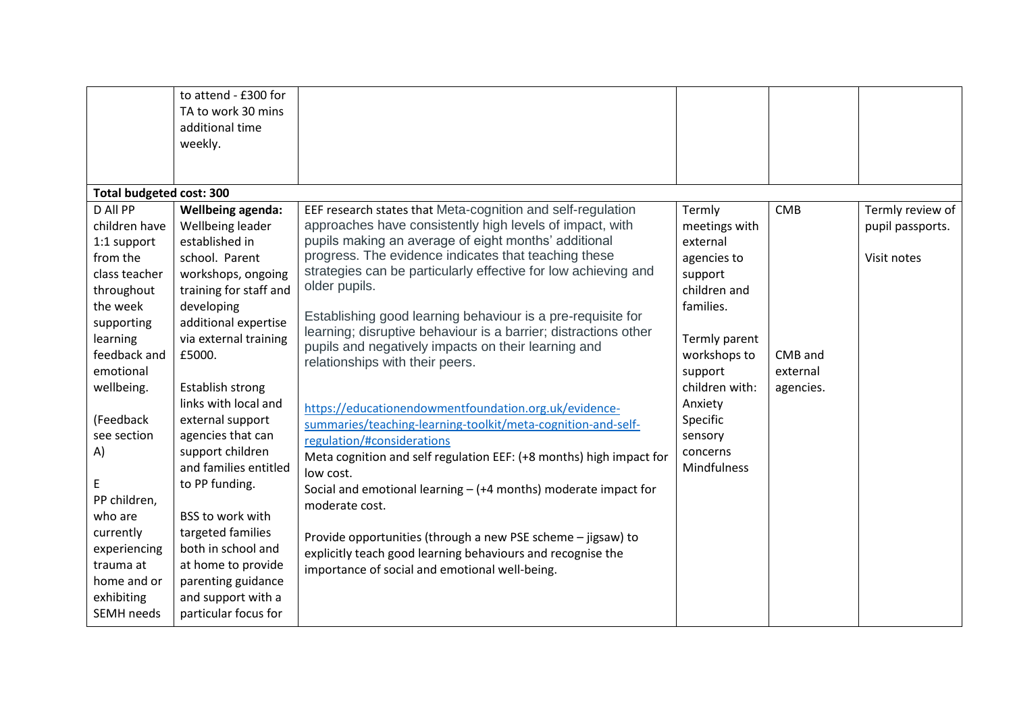|                                                                                                                                                                                                                                                                                                                                    | to attend - £300 for<br>TA to work 30 mins<br>additional time<br>weekly.                                                                                                                                                                                                                                                                                                                                                                                                                                               |                                                                                                                                                                                                                                                                                                                                                                                                                                                                                                                                                                                                                                                                                                                                                                                                                                                                                                                                                                                                                                                                           |                                                                                                                                                                                                                              |                                                |                                                     |
|------------------------------------------------------------------------------------------------------------------------------------------------------------------------------------------------------------------------------------------------------------------------------------------------------------------------------------|------------------------------------------------------------------------------------------------------------------------------------------------------------------------------------------------------------------------------------------------------------------------------------------------------------------------------------------------------------------------------------------------------------------------------------------------------------------------------------------------------------------------|---------------------------------------------------------------------------------------------------------------------------------------------------------------------------------------------------------------------------------------------------------------------------------------------------------------------------------------------------------------------------------------------------------------------------------------------------------------------------------------------------------------------------------------------------------------------------------------------------------------------------------------------------------------------------------------------------------------------------------------------------------------------------------------------------------------------------------------------------------------------------------------------------------------------------------------------------------------------------------------------------------------------------------------------------------------------------|------------------------------------------------------------------------------------------------------------------------------------------------------------------------------------------------------------------------------|------------------------------------------------|-----------------------------------------------------|
| <b>Total budgeted cost: 300</b>                                                                                                                                                                                                                                                                                                    |                                                                                                                                                                                                                                                                                                                                                                                                                                                                                                                        |                                                                                                                                                                                                                                                                                                                                                                                                                                                                                                                                                                                                                                                                                                                                                                                                                                                                                                                                                                                                                                                                           |                                                                                                                                                                                                                              |                                                |                                                     |
| D All PP<br>children have<br>1:1 support<br>from the<br>class teacher<br>throughout<br>the week<br>supporting<br>learning<br>feedback and<br>emotional<br>wellbeing.<br>(Feedback<br>see section<br>A)<br>E<br>PP children,<br>who are<br>currently<br>experiencing<br>trauma at<br>home and or<br>exhibiting<br><b>SEMH</b> needs | Wellbeing agenda:<br>Wellbeing leader<br>established in<br>school. Parent<br>workshops, ongoing<br>training for staff and<br>developing<br>additional expertise<br>via external training<br>£5000.<br><b>Establish strong</b><br>links with local and<br>external support<br>agencies that can<br>support children<br>and families entitled<br>to PP funding.<br>BSS to work with<br>targeted families<br>both in school and<br>at home to provide<br>parenting guidance<br>and support with a<br>particular focus for | EEF research states that Meta-cognition and self-regulation<br>approaches have consistently high levels of impact, with<br>pupils making an average of eight months' additional<br>progress. The evidence indicates that teaching these<br>strategies can be particularly effective for low achieving and<br>older pupils.<br>Establishing good learning behaviour is a pre-requisite for<br>learning; disruptive behaviour is a barrier; distractions other<br>pupils and negatively impacts on their learning and<br>relationships with their peers.<br>https://educationendowmentfoundation.org.uk/evidence-<br>summaries/teaching-learning-toolkit/meta-cognition-and-self-<br>regulation/#considerations<br>Meta cognition and self regulation EEF: (+8 months) high impact for<br>low cost.<br>Social and emotional learning $-$ (+4 months) moderate impact for<br>moderate cost.<br>Provide opportunities (through a new PSE scheme - jigsaw) to<br>explicitly teach good learning behaviours and recognise the<br>importance of social and emotional well-being. | Termly<br>meetings with<br>external<br>agencies to<br>support<br>children and<br>families.<br>Termly parent<br>workshops to<br>support<br>children with:<br>Anxiety<br>Specific<br>sensory<br>concerns<br><b>Mindfulness</b> | <b>CMB</b><br>CMB and<br>external<br>agencies. | Termly review of<br>pupil passports.<br>Visit notes |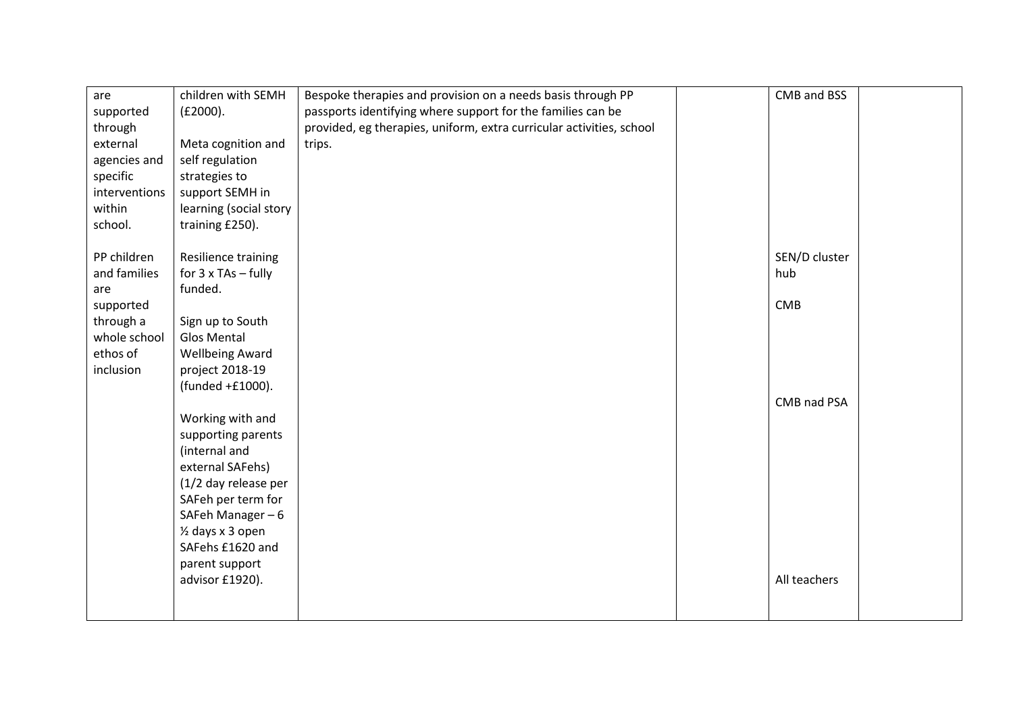| are<br>supported<br>through<br>external<br>agencies and<br>specific | children with SEMH<br>(E2000).<br>Meta cognition and<br>self regulation<br>strategies to | Bespoke therapies and provision on a needs basis through PP<br>passports identifying where support for the families can be<br>provided, eg therapies, uniform, extra curricular activities, school<br>trips. | CMB and BSS          |  |
|---------------------------------------------------------------------|------------------------------------------------------------------------------------------|--------------------------------------------------------------------------------------------------------------------------------------------------------------------------------------------------------------|----------------------|--|
| interventions<br>within<br>school.                                  | support SEMH in<br>learning (social story<br>training £250).                             |                                                                                                                                                                                                              |                      |  |
| PP children<br>and families<br>are                                  | Resilience training<br>for 3 x TAs - fully<br>funded.                                    |                                                                                                                                                                                                              | SEN/D cluster<br>hub |  |
| supported<br>through a<br>whole school<br>ethos of<br>inclusion     | Sign up to South<br><b>Glos Mental</b><br><b>Wellbeing Award</b><br>project 2018-19      |                                                                                                                                                                                                              | <b>CMB</b>           |  |
|                                                                     | (funded +£1000).<br>Working with and<br>supporting parents                               |                                                                                                                                                                                                              | CMB nad PSA          |  |
|                                                                     | (internal and<br>external SAFehs)<br>(1/2 day release per<br>SAFeh per term for          |                                                                                                                                                                                                              |                      |  |
|                                                                     | SAFeh Manager-6<br>1/2 days x 3 open<br>SAFehs £1620 and<br>parent support               |                                                                                                                                                                                                              |                      |  |
|                                                                     | advisor £1920).                                                                          |                                                                                                                                                                                                              | All teachers         |  |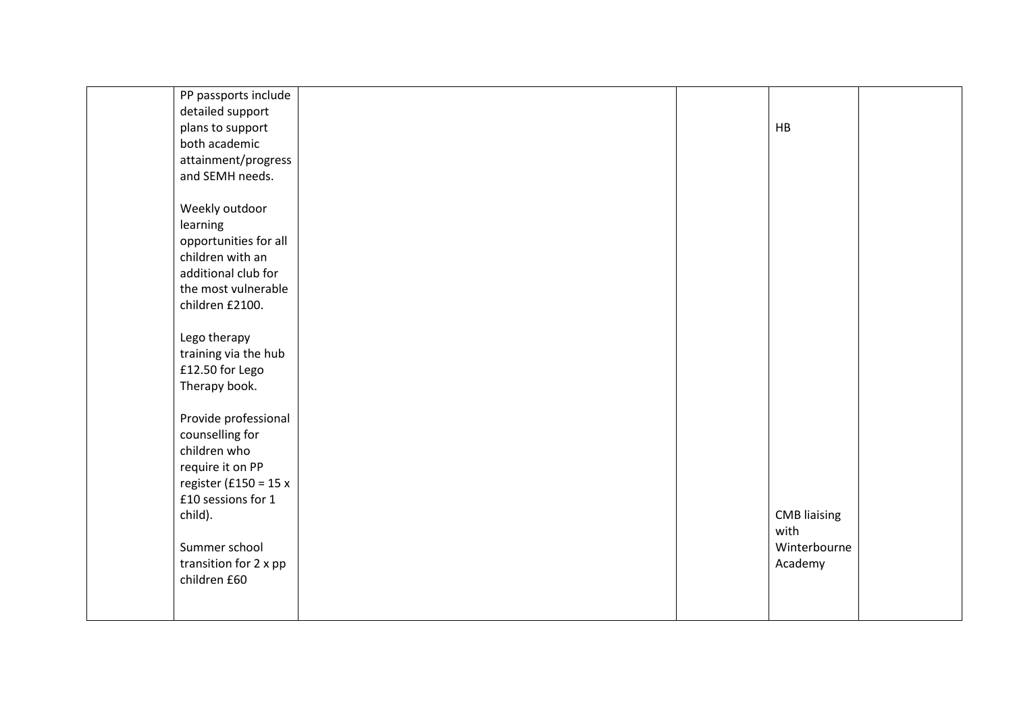| PP passports include    |  |                     |  |
|-------------------------|--|---------------------|--|
| detailed support        |  |                     |  |
|                         |  |                     |  |
| plans to support        |  | HB                  |  |
| both academic           |  |                     |  |
| attainment/progress     |  |                     |  |
| and SEMH needs.         |  |                     |  |
|                         |  |                     |  |
| Weekly outdoor          |  |                     |  |
| learning                |  |                     |  |
| opportunities for all   |  |                     |  |
| children with an        |  |                     |  |
| additional club for     |  |                     |  |
| the most vulnerable     |  |                     |  |
| children £2100.         |  |                     |  |
|                         |  |                     |  |
| Lego therapy            |  |                     |  |
|                         |  |                     |  |
| training via the hub    |  |                     |  |
| £12.50 for Lego         |  |                     |  |
| Therapy book.           |  |                     |  |
|                         |  |                     |  |
| Provide professional    |  |                     |  |
| counselling for         |  |                     |  |
| children who            |  |                     |  |
| require it on PP        |  |                     |  |
| register (£150 = 15 $x$ |  |                     |  |
| £10 sessions for 1      |  |                     |  |
| child).                 |  | <b>CMB</b> liaising |  |
|                         |  | with                |  |
| Summer school           |  | Winterbourne        |  |
| transition for 2 x pp   |  | Academy             |  |
| children £60            |  |                     |  |
|                         |  |                     |  |
|                         |  |                     |  |
|                         |  |                     |  |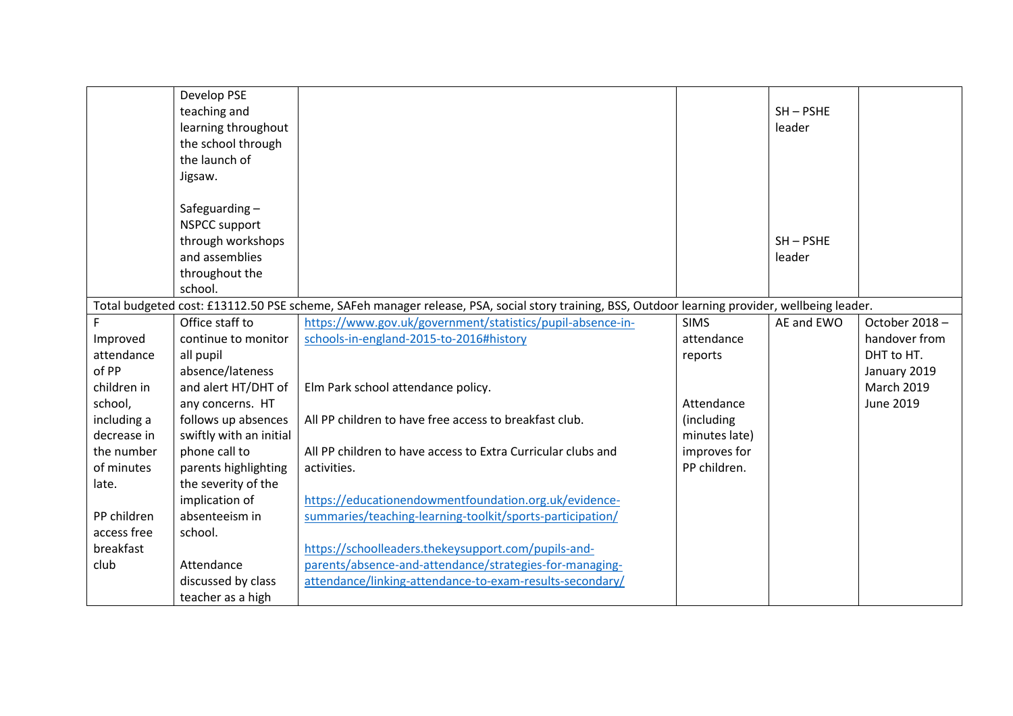|             | Develop PSE<br>teaching and<br>learning throughout<br>the school through<br>the launch of                 |                                                                                                                                                 |               | $SH - PSHE$<br>leader |                   |
|-------------|-----------------------------------------------------------------------------------------------------------|-------------------------------------------------------------------------------------------------------------------------------------------------|---------------|-----------------------|-------------------|
|             | Jigsaw.<br>Safeguarding-<br><b>NSPCC support</b><br>through workshops<br>and assemblies<br>throughout the |                                                                                                                                                 |               | $SH - PSHE$<br>leader |                   |
|             | school.                                                                                                   | Total budgeted cost: £13112.50 PSE scheme, SAFeh manager release, PSA, social story training, BSS, Outdoor learning provider, wellbeing leader. |               |                       |                   |
| F           | Office staff to                                                                                           | https://www.gov.uk/government/statistics/pupil-absence-in-                                                                                      | <b>SIMS</b>   | AE and EWO            | October 2018-     |
| Improved    | continue to monitor                                                                                       | schools-in-england-2015-to-2016#history                                                                                                         | attendance    |                       | handover from     |
| attendance  | all pupil                                                                                                 |                                                                                                                                                 | reports       |                       | DHT to HT.        |
| of PP       | absence/lateness                                                                                          |                                                                                                                                                 |               |                       | January 2019      |
| children in | and alert HT/DHT of                                                                                       | Elm Park school attendance policy.                                                                                                              |               |                       | <b>March 2019</b> |
| school,     | any concerns. HT                                                                                          |                                                                                                                                                 | Attendance    |                       | <b>June 2019</b>  |
| including a | follows up absences                                                                                       | All PP children to have free access to breakfast club.                                                                                          | (including    |                       |                   |
| decrease in | swiftly with an initial                                                                                   |                                                                                                                                                 | minutes late) |                       |                   |
| the number  | phone call to                                                                                             | All PP children to have access to Extra Curricular clubs and                                                                                    | improves for  |                       |                   |
| of minutes  | parents highlighting                                                                                      | activities.                                                                                                                                     | PP children.  |                       |                   |
| late.       | the severity of the                                                                                       |                                                                                                                                                 |               |                       |                   |
|             | implication of                                                                                            | https://educationendowmentfoundation.org.uk/evidence-                                                                                           |               |                       |                   |
| PP children | absenteeism in                                                                                            | summaries/teaching-learning-toolkit/sports-participation/                                                                                       |               |                       |                   |
| access free | school.                                                                                                   |                                                                                                                                                 |               |                       |                   |
| breakfast   |                                                                                                           | https://schoolleaders.thekeysupport.com/pupils-and-                                                                                             |               |                       |                   |
| club        | Attendance                                                                                                | parents/absence-and-attendance/strategies-for-managing-                                                                                         |               |                       |                   |
|             | discussed by class                                                                                        | attendance/linking-attendance-to-exam-results-secondary/                                                                                        |               |                       |                   |
|             | teacher as a high                                                                                         |                                                                                                                                                 |               |                       |                   |